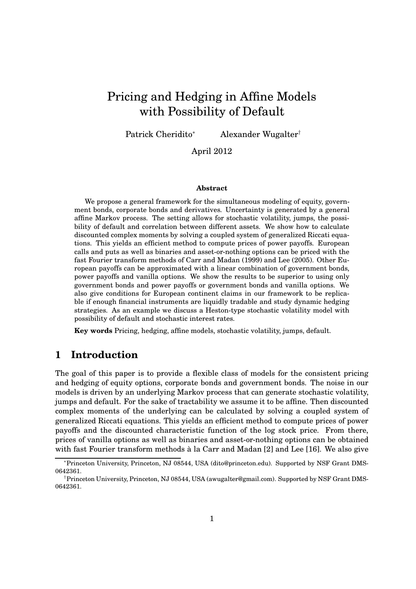# Pricing and Hedging in Affine Models with Possibility of Default

Patrick Cheridito<sup>∗</sup> Alexander Wugalter<sup>†</sup>

April 2012

#### **Abstract**

We propose a general framework for the simultaneous modeling of equity, government bonds, corporate bonds and derivatives. Uncertainty is generated by a general affine Markov process. The setting allows for stochastic volatility, jumps, the possibility of default and correlation between different assets. We show how to calculate discounted complex moments by solving a coupled system of generalized Riccati equations. This yields an efficient method to compute prices of power payoffs. European calls and puts as well as binaries and asset-or-nothing options can be priced with the fast Fourier transform methods of Carr and Madan (1999) and Lee (2005). Other European payoffs can be approximated with a linear combination of government bonds, power payoffs and vanilla options. We show the results to be superior to using only government bonds and power payoffs or government bonds and vanilla options. We also give conditions for European continent claims in our framework to be replicable if enough financial instruments are liquidly tradable and study dynamic hedging strategies. As an example we discuss a Heston-type stochastic volatility model with possibility of default and stochastic interest rates.

**Key words** Pricing, hedging, affine models, stochastic volatility, jumps, default.

# **1 Introduction**

The goal of this paper is to provide a flexible class of models for the consistent pricing and hedging of equity options, corporate bonds and government bonds. The noise in our models is driven by an underlying Markov process that can generate stochastic volatility, jumps and default. For the sake of tractability we assume it to be affine. Then discounted complex moments of the underlying can be calculated by solving a coupled system of generalized Riccati equations. This yields an efficient method to compute prices of power payoffs and the discounted characteristic function of the log stock price. From there, prices of vanilla options as well as binaries and asset-or-nothing options can be obtained with fast Fourier transform methods à la Carr and Madan  $[2]$  and Lee  $[16]$ . We also give

<sup>∗</sup>Princeton University, Princeton, NJ 08544, USA (dito@princeton.edu). Supported by NSF Grant DMS-0642361.

<sup>†</sup>Princeton University, Princeton, NJ 08544, USA (awugalter@gmail.com). Supported by NSF Grant DMS-0642361.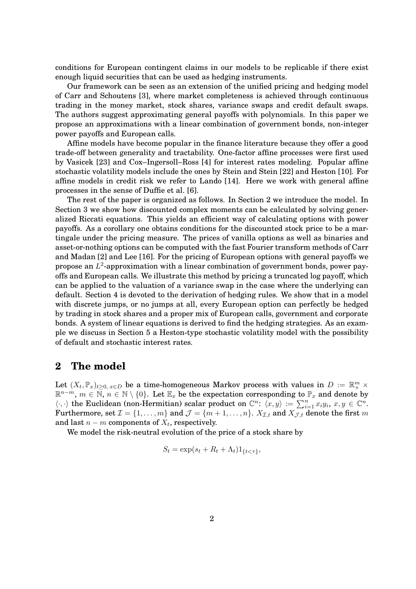conditions for European contingent claims in our models to be replicable if there exist enough liquid securities that can be used as hedging instruments.

Our framework can be seen as an extension of the unified pricing and hedging model of Carr and Schoutens [3], where market completeness is achieved through continuous trading in the money market, stock shares, variance swaps and credit default swaps. The authors suggest approximating general payoffs with polynomials. In this paper we propose an approximations with a linear combination of government bonds, non-integer power payoffs and European calls.

Affine models have become popular in the finance literature because they offer a good trade-off between generality and tractability. One-factor affine processes were first used by Vasicek [23] and Cox–Ingersoll–Ross [4] for interest rates modeling. Popular affine stochastic volatility models include the ones by Stein and Stein [22] and Heston [10]. For affine models in credit risk we refer to Lando [14]. Here we work with general affine processes in the sense of Duffie et al. [6].

The rest of the paper is organized as follows. In Section 2 we introduce the model. In Section 3 we show how discounted complex moments can be calculated by solving generalized Riccati equations. This yields an efficient way of calculating options with power payoffs. As a corollary one obtains conditions for the discounted stock price to be a martingale under the pricing measure. The prices of vanilla options as well as binaries and asset-or-nothing options can be computed with the fast Fourier transform methods of Carr and Madan [2] and Lee [16]. For the pricing of European options with general payoffs we propose an  $L^2$ -approximation with a linear combination of government bonds, power payoffs and European calls. We illustrate this method by pricing a truncated log payoff, which can be applied to the valuation of a variance swap in the case where the underlying can default. Section 4 is devoted to the derivation of hedging rules. We show that in a model with discrete jumps, or no jumps at all, every European option can perfectly be hedged by trading in stock shares and a proper mix of European calls, government and corporate bonds. A system of linear equations is derived to find the hedging strategies. As an example we discuss in Section 5 a Heston-type stochastic volatility model with the possibility of default and stochastic interest rates.

### **2 The model**

Let  $(X_t, \mathbb{P}_x)_{t\geq0, x\in D}$  be a time-homogeneous Markov process with values in  $D := \mathbb{R}^m_+ \times$  $\mathbb{R}^{n-m}, m \in \mathbb{N}, n \in \mathbb{N} \setminus \{0\}$ . Let  $\mathbb{E}_x$  be the expectation corresponding to  $\mathbb{P}_x$  and denote by  $\langle \cdot, \cdot \rangle$  the Euclidean (non-Hermitian) scalar product on  $\mathbb{C}^n$ :  $\langle x, y \rangle := \sum_{i=1}^n x_i y_i, x, y \in \mathbb{C}^n$ . Furthermore, set  $\mathcal{I} = \{1, \ldots, m\}$  and  $\mathcal{J} = \{m+1, \ldots, n\}$ .  $X_{\mathcal{I},t}$  and  $X_{\mathcal{J},t}$  denote the first  $m$ and last  $n - m$  components of  $X_t$ , respectively.

We model the risk-neutral evolution of the price of a stock share by

$$
S_t = \exp(s_t + R_t + \Lambda_t)1_{\{t < \tau\}},
$$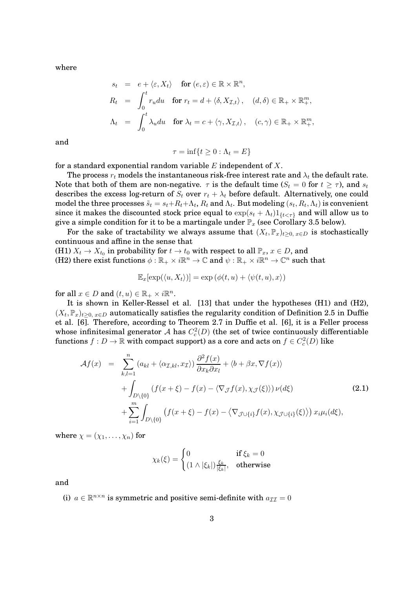where

$$
s_t = e + \langle \varepsilon, X_t \rangle \quad \text{for } (e, \varepsilon) \in \mathbb{R} \times \mathbb{R}^n,
$$
  
\n
$$
R_t = \int_0^t r_u du \quad \text{for } r_t = d + \langle \delta, X_{\mathcal{I},t} \rangle, \quad (d, \delta) \in \mathbb{R}_+ \times \mathbb{R}_+^m,
$$
  
\n
$$
\Lambda_t = \int_0^t \lambda_u du \quad \text{for } \lambda_t = c + \langle \gamma, X_{\mathcal{I},t} \rangle, \quad (c, \gamma) \in \mathbb{R}_+ \times \mathbb{R}_+^m,
$$

and

$$
\tau = \inf\{t \ge 0 : \Lambda_t = E\}
$$

for a standard exponential random variable  $E$  independent of  $X$ .

The process  $r_t$  models the instantaneous risk-free interest rate and  $\lambda_t$  the default rate. Note that both of them are non-negative.  $\tau$  is the default time ( $S_t = 0$  for  $t \geq \tau$ ), and  $s_t$ describes the excess log-return of  $S_t$  over  $r_t + \lambda_t$  before default. Alternatively, one could model the three processes  $\tilde{s}_t = s_t{+}R_t{+}\Lambda_t$ ,  $R_t$  and  $\Lambda_t$ . But modeling  $(s_t,R_t,\Lambda_t)$  is convenient since it makes the discounted stock price equal to  $\exp(s_t + \Lambda_t)1_{\{t < \tau\}}$  and will allow us to give a simple condition for it to be a martingale under  $\mathbb{P}_x$  (see Corollary 3.5 below).

For the sake of tractability we always assume that  $(X_t, \mathbb{P}_x)_{t\geq0, x\in D}$  is stochastically continuous and affine in the sense that

(H1)  $X_t \rightarrow X_{t_0}$  in probability for  $t \rightarrow t_0$  with respect to all  $\mathbb{P}_x,$   $x \in D,$  and (H2) there exist functions  $\phi: \mathbb{R}_+ \times i\mathbb{R}^n \to \mathbb{C}$  and  $\psi: \mathbb{R}_+ \times i\mathbb{R}^n \to \mathbb{C}^n$  such that

$$
\mathbb{E}_x[\exp(\langle u, X_t \rangle)] = \exp(\phi(t, u) + \langle \psi(t, u), x \rangle)
$$

for all  $x \in D$  and  $(t, u) \in \mathbb{R}_+ \times i\mathbb{R}^n$ .

It is shown in Keller-Ressel et al. [13] that under the hypotheses (H1) and (H2),  $(X_t, \mathbb{P}_x)_{t\geq0, x\in D}$  automatically satisfies the regularity condition of Definition 2.5 in Duffie et al. [6]. Therefore, according to Theorem 2.7 in Duffie et al. [6], it is a Feller process whose infinitesimal generator  $\mathcal A$  has  $C_c^2(D)$  (the set of twice continuously differentiable functions  $f: D \to \mathbb{R}$  with compact support) as a core and acts on  $f \in C^2_c(D)$  like

$$
\mathcal{A}f(x) = \sum_{k,l=1}^{n} (a_{kl} + \langle \alpha_{\mathcal{I},kl}, x_{\mathcal{I}} \rangle) \frac{\partial^2 f(x)}{\partial x_k \partial x_l} + \langle b + \beta x, \nabla f(x) \rangle \n+ \int_{D \setminus \{0\}} (f(x + \xi) - f(x) - \langle \nabla_{\mathcal{J}} f(x), \chi_{\mathcal{J}}(\xi) \rangle) \nu(d\xi) \n+ \sum_{i=1}^{m} \int_{D \setminus \{0\}} (f(x + \xi) - f(x) - \langle \nabla_{\mathcal{J} \cup \{i\}} f(x), \chi_{\mathcal{J} \cup \{i\}}(\xi) \rangle) x_i \mu_i(d\xi),
$$
\n(2.1)

where  $\chi = (\chi_1, \ldots, \chi_n)$  for

$$
\chi_k(\xi) = \begin{cases} 0 & \text{if } \xi_k = 0\\ (1 \wedge |\xi_k|) \frac{\xi_k}{|\xi_k|}, & \text{otherwise} \end{cases}
$$

and

(i)  $a \in \mathbb{R}^{n \times n}$  is symmetric and positive semi-definite with  $a_{\mathcal{II}} = 0$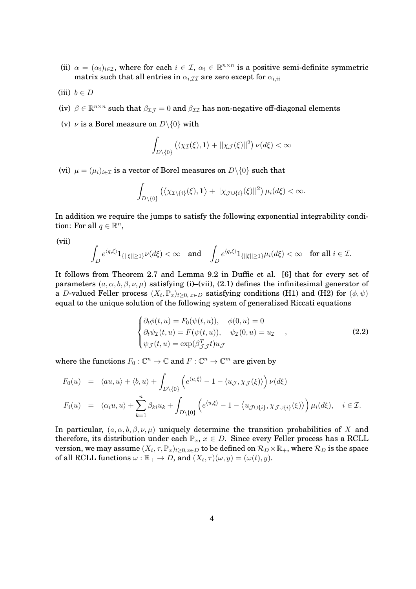- (ii)  $\alpha = (\alpha_i)_{i \in \mathcal{I}}$ , where for each  $i \in \mathcal{I}$ ,  $\alpha_i \in \mathbb{R}^{n \times n}$  is a positive semi-definite symmetric matrix such that all entries in  $\alpha_{i,II}$  are zero except for  $\alpha_{i,ii}$
- (iii)  $b \in D$
- (iv)  $\beta \in \mathbb{R}^{n \times n}$  such that  $\beta_{\mathcal{I} \mathcal{J}} = 0$  and  $\beta_{\mathcal{I} \mathcal{I}}$  has non-negative off-diagonal elements
- (v)  $\nu$  is a Borel measure on  $D\setminus\{0\}$  with

$$
\int_{D\setminus\{0\}} \left( \langle \chi_{\mathcal{I}}(\xi), \mathbf{1} \rangle + ||\chi_{\mathcal{J}}(\xi)||^2 \right) \nu(d\xi) < \infty
$$

(vi)  $\mu = (\mu_i)_{i \in \mathcal{I}}$  is a vector of Borel measures on  $D \setminus \{0\}$  such that

$$
\int_{D\setminus\{0\}} \left( \langle \chi_{\mathcal{I}\setminus\{i\}}(\xi), \mathbf{1} \rangle + ||\chi_{\mathcal{J}\cup\{i\}}(\xi)||^2 \right) \mu_i(d\xi) < \infty.
$$

In addition we require the jumps to satisfy the following exponential integrability condition: For all  $q \in \mathbb{R}^n$ ,

(vii)

$$
\int_D e^{\langle q,\xi\rangle} 1_{\{||\xi||\geq 1\}} \nu(d\xi) < \infty \quad \text{and} \quad \int_D e^{\langle q,\xi\rangle} 1_{\{||\xi||\geq 1\}} \mu_i(d\xi) < \infty \quad \text{for all } i \in \mathcal{I}.
$$

It follows from Theorem 2.7 and Lemma 9.2 in Duffie et al. [6] that for every set of parameters  $(a, \alpha, b, \beta, \nu, \mu)$  satisfying (i)–(vii), (2.1) defines the infinitesimal generator of a D-valued Feller process  $(X_t, \mathbb{P}_x)_{t\geq 0, x\in D}$  satisfying conditions (H1) and (H2) for  $(\phi, \psi)$ equal to the unique solution of the following system of generalized Riccati equations

$$
\begin{cases}\n\partial_t \phi(t, u) = F_0(\psi(t, u)), & \phi(0, u) = 0 \\
\partial_t \psi_{\mathcal{I}}(t, u) = F(\psi(t, u)), & \psi_{\mathcal{I}}(0, u) = u_{\mathcal{I}} \\
\psi_{\mathcal{I}}(t, u) = \exp(\beta_{\mathcal{I}\mathcal{J}}^T t)u_{\mathcal{J}}\n\end{cases}
$$
\n(2.2)

where the functions  $F_0: \mathbb{C}^n \to \mathbb{C}$  and  $F: \mathbb{C}^n \to \mathbb{C}^m$  are given by

$$
F_0(u) = \langle au, u \rangle + \langle b, u \rangle + \int_{D \setminus \{0\}} \left( e^{\langle u, \xi \rangle} - 1 - \langle u, \chi, \chi \mathcal{J}(\xi) \rangle \right) \nu(d\xi)
$$
  

$$
F_i(u) = \langle \alpha_i u, u \rangle + \sum_{k=1}^n \beta_{ki} u_k + \int_{D \setminus \{0\}} \left( e^{\langle u, \xi \rangle} - 1 - \langle u, \chi \mathcal{J} \cup \{i\}, \chi \mathcal{J} \cup \{i\} \rangle \right) \mu_i(d\xi), \quad i \in \mathcal{I}.
$$

In particular,  $(a, \alpha, b, \beta, \nu, \mu)$  uniquely determine the transition probabilities of X and therefore, its distribution under each  $\mathbb{P}_x$ ,  $x \in D$ . Since every Feller process has a RCLL version, we may assume  $(X_t, \tau, \mathbb{P}_x)_{t \geq 0, x \in D}$  to be defined on  $\mathcal{R}_D \times \mathbb{R}_+$ , where  $\mathcal{R}_D$  is the space of all RCLL functions  $\omega : \mathbb{R}_+ \to D$ , and  $(X_t, \tau)(\omega, y) = (\omega(t), y)$ .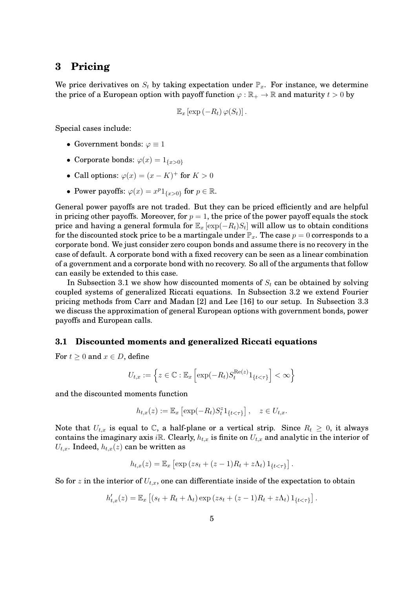# **3 Pricing**

We price derivatives on  $S_t$  by taking expectation under  $\mathbb{P}_x$ . For instance, we determine the price of a European option with payoff function  $\varphi : \mathbb{R}_+ \to \mathbb{R}$  and maturity  $t > 0$  by

$$
\mathbb{E}_x \left[ \exp \left( -R_t \right) \varphi(S_t) \right].
$$

Special cases include:

- Government bonds:  $\varphi \equiv 1$
- Corporate bonds:  $\varphi(x) = 1_{\{x>0\}}$
- Call options:  $\varphi(x) = (x K)^+$  for  $K > 0$
- Power payoffs:  $\varphi(x) = x^p 1_{\{x>0\}}$  for  $p \in \mathbb{R}$ .

General power payoffs are not traded. But they can be priced efficiently and are helpful in pricing other payoffs. Moreover, for  $p = 1$ , the price of the power payoff equals the stock price and having a general formula for  $\mathbb{E}_x\left[\exp(-R_t)S_t\right]$  will allow us to obtain conditions for the discounted stock price to be a martingale under  $\mathbb{P}_x$ . The case  $p = 0$  corresponds to a corporate bond. We just consider zero coupon bonds and assume there is no recovery in the case of default. A corporate bond with a fixed recovery can be seen as a linear combination of a government and a corporate bond with no recovery. So all of the arguments that follow can easily be extended to this case.

In Subsection 3.1 we show how discounted moments of  $S_t$  can be obtained by solving coupled systems of generalized Riccati equations. In Subsection 3.2 we extend Fourier pricing methods from Carr and Madan [2] and Lee [16] to our setup. In Subsection 3.3 we discuss the approximation of general European options with government bonds, power payoffs and European calls.

#### **3.1 Discounted moments and generalized Riccati equations**

For  $t > 0$  and  $x \in D$ , define

$$
U_{t,x} := \left\{ z \in \mathbb{C} : \mathbb{E}_x \left[ \exp(-R_t) S_t^{\text{Re}(z)} 1_{\{t < \tau\}} \right] < \infty \right\}
$$

and the discounted moments function

$$
h_{t,x}(z) := \mathbb{E}_x \left[ \exp(-R_t) S_t^z 1_{\{t < \tau\}} \right], \quad z \in U_{t,x}.
$$

Note that  $U_{t,x}$  is equal to  $\mathbb{C}$ , a half-plane or a vertical strip. Since  $R_t \geq 0$ , it always contains the imaginary axis iR. Clearly,  $h_{t,x}$  is finite on  $U_{t,x}$  and analytic in the interior of  $U_{t,x}$ . Indeed,  $h_{t,x}(z)$  can be written as

$$
h_{t,x}(z) = \mathbb{E}_x \left[ \exp(z s_t + (z-1)R_t + z \Lambda_t) \mathbb{1}_{\{t < \tau\}} \right].
$$

So for z in the interior of  $U_{t,x}$ , one can differentiate inside of the expectation to obtain

$$
h'_{t,x}(z) = \mathbb{E}_x \left[ \left( s_t + R_t + \Lambda_t \right) \exp \left( z s_t + (z-1)R_t + z \Lambda_t \right) \mathbb{1}_{\{ t < \tau \}} \right].
$$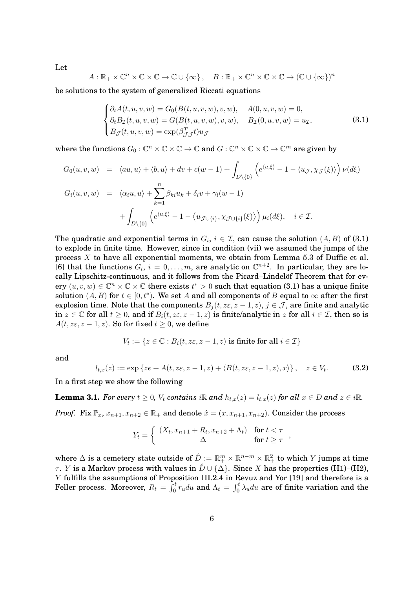$$
A: \mathbb{R}_+ \times \mathbb{C}^n \times \mathbb{C} \times \mathbb{C} \to \mathbb{C} \cup \{\infty\}, \quad B: \mathbb{R}_+ \times \mathbb{C}^n \times \mathbb{C} \times \mathbb{C} \to (\mathbb{C} \cup \{\infty\})^n
$$

be solutions to the system of generalized Riccati equations

$$
\begin{cases}\n\partial_t A(t, u, v, w) = G_0(B(t, u, v, w), v, w), & A(0, u, v, w) = 0, \\
\partial_t B_\mathcal{I}(t, u, v, w) = G(B(t, u, v, w), v, w), & B_\mathcal{I}(0, u, v, w) = u_\mathcal{I}, \\
B_\mathcal{I}(t, u, v, w) = \exp(\beta_{\mathcal{I}\mathcal{J}}^T t)u_\mathcal{J}\n\end{cases}
$$
\n(3.1)

where the functions  $G_0: \mathbb{C}^n \times \mathbb{C} \times \mathbb{C} \to \mathbb{C}$  and  $G: \mathbb{C}^n \times \mathbb{C} \times \mathbb{C} \to \mathbb{C}^m$  are given by

$$
G_0(u, v, w) = \langle au, u \rangle + \langle b, u \rangle + dv + c(w - 1) + \int_{D \setminus \{0\}} \left( e^{\langle u, \xi \rangle} - 1 - \langle u_{\mathcal{J}}, \chi_{\mathcal{J}}(\xi) \rangle \right) \nu(d\xi)
$$
  

$$
G_i(u, v, w) = \langle \alpha_i u, u \rangle + \sum_{k=1}^n \beta_{ki} u_k + \delta_i v + \gamma_i (w - 1)
$$
  

$$
+ \int_{D \setminus \{0\}} \left( e^{\langle u, \xi \rangle} - 1 - \langle u_{\mathcal{J} \cup \{i\}}, \chi_{\mathcal{J} \cup \{i\}}(\xi) \rangle \right) \mu_i(d\xi), \quad i \in \mathcal{I}.
$$

The quadratic and exponential terms in  $G_i, \, i \in \mathcal{I},$  can cause the solution  $(A, B)$  of  $(3.1)$ to explode in finite time. However, since in condition (vii) we assumed the jumps of the process  $X$  to have all exponential moments, we obtain from Lemma 5.3 of Duffie et al. [6] that the functions  $G_i$ ,  $i = 0, \ldots, m$ , are analytic on  $\mathbb{C}^{n+2}$ . In particular, they are locally Lipschitz-continuous, and it follows from the Picard–Lindelöf Theorem that for every  $(u, v, w) \in \mathbb{C}^n \times \mathbb{C} \times \mathbb{C}$  there exists  $t^* > 0$  such that equation (3.1) has a unique finite solution  $(A, B)$  for  $t \in [0, t^*)$ . We set  $A$  and all components of  $B$  equal to  $\infty$  after the first explosion time. Note that the components  $B_i(t, z\varepsilon, z - 1, z)$ ,  $j \in \mathcal{J}$ , are finite and analytic in  $z \in \mathbb{C}$  for all  $t \geq 0$ , and if  $B_i(t, z \in, z - 1, z)$  is finite/analytic in z for all  $i \in \mathcal{I}$ , then so is  $A(t, z\varepsilon, z - 1, z)$ . So for fixed  $t \geq 0$ , we define

$$
V_t := \{ z \in \mathbb{C} : B_i(t, z\varepsilon, z - 1, z) \text{ is finite for all } i \in \mathcal{I} \}
$$

and

$$
l_{t,x}(z) := \exp\left\{ze + A(t, z\varepsilon, z - 1, z) + \langle B(t, z\varepsilon, z - 1, z), x\rangle\right\}, \quad z \in V_t.
$$
 (3.2)

In a first step we show the following

**Lemma 3.1.** *For every*  $t \geq 0$ *,*  $V_t$  *contains*  $i\mathbb{R}$  *and*  $h_{t,x}(z) = l_{t,x}(z)$  *for all*  $x \in D$  *and*  $z \in i\mathbb{R}$ *.* 

*Proof.* Fix  $\mathbb{P}_x$ ,  $x_{n+1}$ ,  $x_{n+2} \in \mathbb{R}_+$  and denote  $\hat{x} = (x, x_{n+1}, x_{n+2})$ . Consider the process

$$
Y_t = \begin{cases} (X_t, x_{n+1} + R_t, x_{n+2} + \Lambda_t) & \text{for } t < \tau \\ \Delta & \text{for } t \ge \tau \end{cases}
$$

where  $\Delta$  is a cemetery state outside of  $\hat{D}:=\mathbb{R}^m_+\times \mathbb{R}^{n-m}\times \mathbb{R}^2_+$  to which  $Y$  jumps at time  $\tau$ . Y is a Markov process with values in  $\hat{D} \cup {\{\Delta\}}$ . Since X has the properties (H1)–(H2), Y fulfills the assumptions of Proposition III.2.4 in Revuz and Yor [19] and therefore is a Feller process. Moreover,  $R_t = \int_0^t r_u du$  and  $\Lambda_t = \int_0^t \lambda_u du$  are of finite variation and the

Let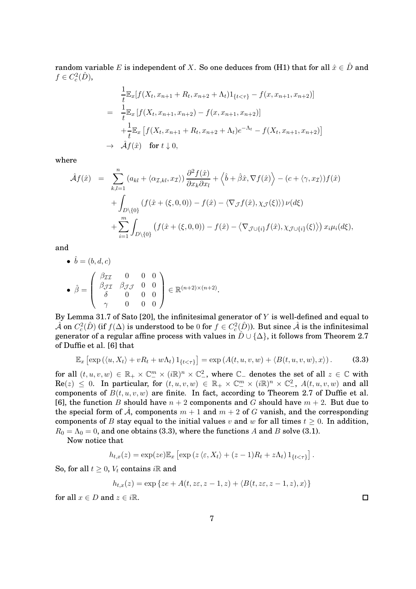random variable E is independent of X. So one deduces from (H1) that for all  $\hat{x} \in \hat{D}$  and  $f \in C_c^2(D)$ ,

$$
\frac{1}{t} \mathbb{E}_x[f(X_t, x_{n+1} + R_t, x_{n+2} + \Lambda_t)1_{\{t < \tau\}} - f(x, x_{n+1}, x_{n+2})]
$$
\n
$$
= \frac{1}{t} \mathbb{E}_x[f(X_t, x_{n+1}, x_{n+2}) - f(x, x_{n+1}, x_{n+2})]
$$
\n
$$
+ \frac{1}{t} \mathbb{E}_x[f(X_t, x_{n+1} + R_t, x_{n+2} + \Lambda_t)e^{-\Lambda_t} - f(X_t, x_{n+1}, x_{n+2})]
$$
\n
$$
\rightarrow \hat{\mathcal{A}}f(\hat{x}) \quad \text{for } t \downarrow 0,
$$

where

$$
\hat{\mathcal{A}}f(\hat{x}) = \sum_{k,l=1}^{n} (a_{kl} + \langle \alpha_{\mathcal{I},kl}, x_{\mathcal{I}} \rangle) \frac{\partial^2 f(\hat{x})}{\partial x_k \partial x_l} + \langle \hat{b} + \hat{\beta} \hat{x}, \nabla f(\hat{x}) \rangle - (c + \langle \gamma, x_{\mathcal{I}} \rangle) f(\hat{x}) \n+ \int_{D \setminus \{0\}} (f(\hat{x} + (\xi, 0, 0)) - f(\hat{x}) - \langle \nabla_{\mathcal{J}} f(\hat{x}), \chi_{\mathcal{J}}(\xi) \rangle) \nu(d\xi) \n+ \sum_{i=1}^{m} \int_{D \setminus \{0\}} (f(\hat{x} + (\xi, 0, 0)) - f(\hat{x}) - \langle \nabla_{\mathcal{J} \cup \{i\}} f(\hat{x}), \chi_{\mathcal{J} \cup \{i\}}(\xi) \rangle) x_i \mu_i(d\xi),
$$

and

• 
$$
\hat{b} = (b, d, c)
$$
  
\n•  $\hat{\beta} = \begin{pmatrix} \beta_{\text{II}} & 0 & 0 & 0 \\ \beta_{\text{II}} & \beta_{\text{II}} & 0 & 0 \\ \delta & 0 & 0 & 0 \\ \gamma & 0 & 0 & 0 \end{pmatrix} \in \mathbb{R}^{(n+2)\times(n+2)}$ .

By Lemma 31.7 of Sato [20], the infinitesimal generator of  $Y$  is well-defined and equal to  $\hat{\mathcal{A}}$  on  $C_c^2(\hat{D})$  (if  $f(\Delta)$  is understood to be 0 for  $f\in C_c^2(\hat{D})$ ). But since  $\hat{\mathcal{A}}$  is the infinitesimal generator of a regular affine process with values in  $\hat{D} \cup \{\Delta\}$ , it follows from Theorem 2.7 of Duffie et al. [6] that

$$
\mathbb{E}_x \left[ \exp \left( \langle u, X_t \rangle + vR_t + w\Lambda_t \right) \mathbf{1}_{\{t < \tau\}} \right] = \exp \left( A(t, u, v, w) + \langle B(t, u, v, w), x \rangle \right). \tag{3.3}
$$

for all  $(t, u, v, w) \in \mathbb{R}_+ \times \mathbb{C}_+^m \times (\mathbb{R})^n \times \mathbb{C}_-^2$ , where  $\mathbb{C}_-$  denotes the set of all  $z \in \mathbb{C}$  with  $\text{Re}(z) \leq 0$ . In particular, for  $(t, u, v, w) \in \mathbb{R}_+ \times \mathbb{C}_+^m \times (i\mathbb{R})^n \times \mathbb{C}_-^2$ ,  $A(t, u, v, w)$  and all components of  $B(t, u, v, w)$  are finite. In fact, according to Theorem 2.7 of Duffie et al. [6], the function B should have  $n + 2$  components and G should have  $m + 2$ . But due to the special form of  $\hat{A}$ , components  $m + 1$  and  $m + 2$  of G vanish, and the corresponding components of B stay equal to the initial values v and w for all times  $t \geq 0$ . In addition,  $R_0 = \Lambda_0 = 0$ , and one obtains (3.3), where the functions A and B solve (3.1).

Now notice that

$$
h_{t,x}(z) = \exp(ze) \mathbb{E}_x \left[ \exp(z \langle \varepsilon, X_t \rangle + (z-1)R_t + z\Lambda_t) 1_{\{t < \tau\}} \right].
$$

So, for all  $t \geq 0$ ,  $V_t$  contains i $\mathbb R$  and

$$
h_{t,x}(z) = \exp\left\{ze + A(t, z\varepsilon, z - 1, z) + \langle B(t, z\varepsilon, z - 1, z), x \rangle\right\}
$$

for all  $x \in D$  and  $z \in i\mathbb{R}$ .

 $\Box$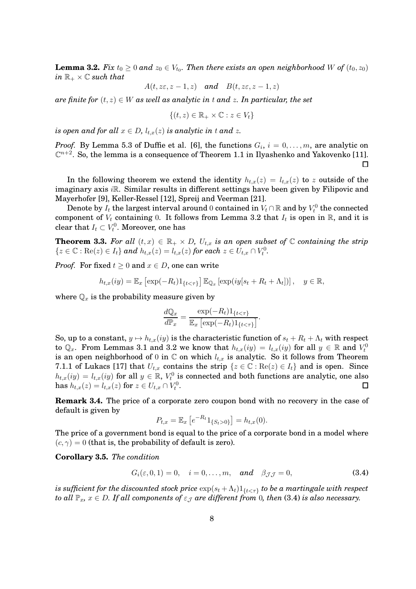**Lemma 3.2.** Fix  $t_0 \geq 0$  and  $z_0 \in V_{t_0}$ . Then there exists an open neighborhood W of  $(t_0, z_0)$ *in*  $\mathbb{R}_+ \times \mathbb{C}$  *such that* 

$$
A(t, z\varepsilon, z-1, z) \quad \text{and} \quad B(t, z\varepsilon, z-1, z)
$$

*are finite for*  $(t, z) \in W$  *as well as analytic in* t *and* z. In particular, the set

$$
\{(t,z)\in\mathbb{R}_+\times\mathbb{C}:z\in V_t\}
$$

*is open and for all*  $x \in D$ ,  $l_{t,x}(z)$  *is analytic in t and z.* 

*Proof.* By Lemma 5.3 of Duffie et al. [6], the functions  $G_i$ ,  $i = 0, \ldots, m$ , are analytic on  $\mathbb{C}^{n+2}$ . So, the lemma is a consequence of Theorem 1.1 in Ilyashenko and Yakovenko [11].  $\Box$ 

In the following theorem we extend the identity  $h_{t,x}(z) = l_{t,x}(z)$  to z outside of the imaginary axis iR. Similar results in different settings have been given by Filipovic and Mayerhofer [9], Keller-Ressel [12], Spreij and Veerman [21].

Denote by  $I_t$  the largest interval around  $0$  contained in  $V_t \cap \mathbb{R}$  and by  $V^0_t$  the connected component of  $V_t$  containing 0. It follows from Lemma 3.2 that  $I_t$  is open in  $\mathbb{R}$ , and it is clear that  $I_t \subset V_t^0$ . Moreover, one has

**Theorem 3.3.** For all  $(t, x) \in \mathbb{R}_+ \times D$ ,  $U_{t, x}$  is an open subset of  $\mathbb{C}$  containing the strip  ${z \in \mathbb{C} : \text{Re}(z) \in I_t }$  and  $h_{t,x}(z) = l_{t,x}(z)$  for each  $z \in U_{t,x} \cap V_t^0$ .

*Proof.* For fixed  $t > 0$  and  $x \in D$ , one can write

$$
h_{t,x}(iy) = \mathbb{E}_x \left[ \exp(-R_t) 1_{\{t < \tau\}} \right] \mathbb{E}_{\mathbb{Q}_x} \left[ \exp(iy[s_t + R_t + \Lambda_t]) \right], \quad y \in \mathbb{R},
$$

where  $\mathbb{Q}_x$  is the probability measure given by

$$
\frac{dQ_x}{d\mathbb{P}_x} = \frac{\exp(-R_t)1_{\{t<\tau\}}}{\mathbb{E}_x \left[\exp(-R_t)1_{\{t<\tau\}}\right]}.
$$

So, up to a constant,  $y \mapsto h_{t,x}(iy)$  is the characteristic function of  $s_t + R_t + \Lambda_t$  with respect to  $\mathbb{Q}_x$ . From Lemmas 3.1 and 3.2 we know that  $h_{t,x}(iy) = l_{t,x}(iy)$  for all  $y \in \mathbb{R}$  and  $V_t^0$ is an open neighborhood of 0 in  $\mathbb C$  on which  $l_{t,x}$  is analytic. So it follows from Theorem 7.1.1 of Lukacs [17] that  $U_{t,x}$  contains the strip  $\{z \in \mathbb{C} : \text{Re}(z) \in I_t\}$  and is open. Since  $h_{t,x}(iy) = l_{t,x}(iy)$  for all  $y \in \mathbb{R}$ ,  $V_t^0$  is connected and both functions are analytic, one also has  $h_{t,x}(z) = l_{t,x}(z)$  for  $z \in U_{t,x} \cap V_t^0$ . □

**Remark 3.4.** The price of a corporate zero coupon bond with no recovery in the case of default is given by

$$
P_{t,x} = \mathbb{E}_x \left[ e^{-R_t} 1_{\{S_t > 0\}} \right] = h_{t,x}(0).
$$

The price of a government bond is equal to the price of a corporate bond in a model where  $(c, \gamma) = 0$  (that is, the probability of default is zero).

**Corollary 3.5.** *The condition*

$$
G_i(\varepsilon, 0, 1) = 0, \quad i = 0, \dots, m, \quad \text{and} \quad \beta_{\mathcal{J}\mathcal{J}} = 0,
$$
 (3.4)

 $\frac{d}{dt}$  *is sufficient for the discounted stock price*  $\exp(s_t + \Lambda_t) 1_{\{t < \tau\}}$  *to be a martingale with respect to all*  $\mathbb{P}_x$ ,  $x \in D$ *. If all components of*  $\varepsilon$ <sub>*J</sub> are different from* 0*, then* (3.4) *is also necessary.*</sub>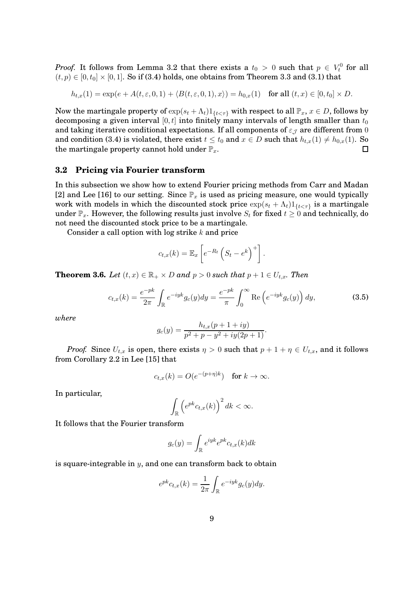*Proof.* It follows from Lemma 3.2 that there exists a  $t_0 > 0$  such that  $p \in V_t^0$  for all  $(t, p) \in [0, t_0] \times [0, 1]$ . So if (3.4) holds, one obtains from Theorem 3.3 and (3.1) that

$$
h_{t,x}(1) = \exp(e + A(t, \varepsilon, 0, 1) + \langle B(t, \varepsilon, 0, 1), x \rangle) = h_{0,x}(1) \text{ for all } (t, x) \in [0, t_0] \times D.
$$

Now the martingale property of  $\exp(s_t + \Lambda_t)1_{\{t < \tau\}}$  with respect to all  $\mathbb{P}_x$ ,  $x \in D$ , follows by decomposing a given interval  $[0, t]$  into finitely many intervals of length smaller than  $t_0$ and taking iterative conditional expectations. If all components of  $\varepsilon_{\mathcal{J}}$  are different from 0 and condition (3.4) is violated, there exist  $t \le t_0$  and  $x \in D$  such that  $h_{t,x}(1) \ne h_{0,x}(1)$ . So the martingale property cannot hold under  $\mathbb{P}_x$ .  $\Box$ 

#### **3.2 Pricing via Fourier transform**

In this subsection we show how to extend Fourier pricing methods from Carr and Madan [2] and Lee [16] to our setting. Since  $\mathbb{P}_x$  is used as pricing measure, one would typically work with models in which the discounted stock price  $\exp(s_t + \Lambda_t)1_{\{t < \tau\}}$  is a martingale under  $\mathbb{P}_x$ . However, the following results just involve  $S_t$  for fixed  $t \geq 0$  and technically, do not need the discounted stock price to be a martingale.

Consider a call option with  $\log$  strike k and price

$$
c_{t,x}(k) = \mathbb{E}_x \left[ e^{-R_t} \left( S_t - e^k \right)^+ \right].
$$

**Theorem 3.6.** *Let*  $(t, x) \in \mathbb{R}_+ \times D$  *and*  $p > 0$  *such that*  $p + 1 \in U_{t,x}$ *. Then* 

$$
c_{t,x}(k) = \frac{e^{-pk}}{2\pi} \int_{\mathbb{R}} e^{-iyk} g_c(y) dy = \frac{e^{-pk}}{\pi} \int_0^\infty \text{Re}\left(e^{-iyk} g_c(y)\right) dy,
$$
 (3.5)

*where*

$$
g_c(y) = \frac{h_{t,x}(p+1+iy)}{p^2 + p - y^2 + iy(2p+1)}.
$$

*Proof.* Since  $U_{t,x}$  is open, there exists  $\eta > 0$  such that  $p + 1 + \eta \in U_{t,x}$ , and it follows from Corollary 2.2 in Lee [15] that

$$
c_{t,x}(k) = O(e^{-(p+\eta)k}) \quad \text{for } k \to \infty.
$$

In particular,

$$
\int_{\mathbb{R}} \left( e^{pk} c_{t,x}(k) \right)^2 dk < \infty.
$$

It follows that the Fourier transform

$$
g_c(y) = \int_{\mathbb{R}} e^{iyk} e^{pk} c_{t,x}(k) dk
$$

is square-integrable in  $y$ , and one can transform back to obtain

$$
e^{pk}c_{t,x}(k) = \frac{1}{2\pi} \int_{\mathbb{R}} e^{-iyk} g_c(y) dy.
$$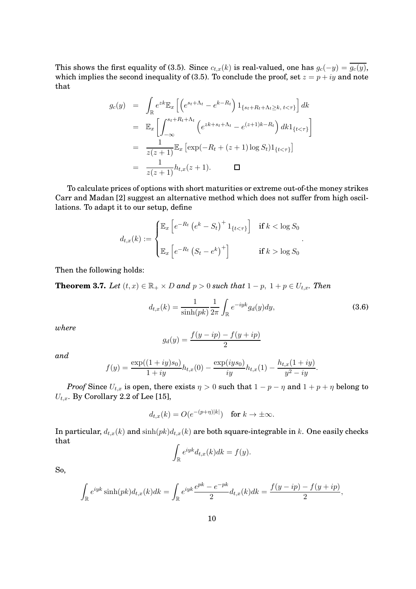This shows the first equality of (3.5). Since  $c_{t,x}(k)$  is real-valued, one has  $g_c(-y) = \overline{g_c(y)}$ , which implies the second inequality of (3.5). To conclude the proof, set  $z = p + iy$  and note that

$$
g_c(y) = \int_{\mathbb{R}} e^{zk} \mathbb{E}_x \left[ \left( e^{s_t + \Lambda_t} - e^{k - R_t} \right) 1_{\{s_t + R_t + \Lambda_t \ge k, t < \tau\}} \right] dk
$$
  
\n
$$
= \mathbb{E}_x \left[ \int_{-\infty}^{s_t + R_t + \Lambda_t} \left( e^{zk + s_t + \Lambda_t} - e^{(z+1)k - R_t} \right) dk 1_{\{t < \tau\}} \right]
$$
  
\n
$$
= \frac{1}{z(z+1)} \mathbb{E}_x \left[ \exp(-R_t + (z+1) \log S_t) 1_{\{t < \tau\}} \right]
$$
  
\n
$$
= \frac{1}{z(z+1)} h_{t,x}(z+1). \qquad \Box
$$

To calculate prices of options with short maturities or extreme out-of-the money strikes Carr and Madan [2] suggest an alternative method which does not suffer from high oscillations. To adapt it to our setup, define

$$
d_{t,x}(k) := \begin{cases} \mathbb{E}_x \left[ e^{-R_t} \left( e^k - S_t \right)^+ 1_{\{t < \tau\}} \right] & \text{if } k < \log S_0 \\ \mathbb{E}_x \left[ e^{-R_t} \left( S_t - e^k \right)^+ \right] & \text{if } k > \log S_0 \end{cases}
$$

Then the following holds:

**Theorem 3.7.** *Let*  $(t, x) \in \mathbb{R}_+ \times D$  *and*  $p > 0$  *such that*  $1 - p$ ,  $1 + p \in U_{t,x}$ *. Then* 

$$
d_{t,x}(k) = \frac{1}{\sinh(pk)} \frac{1}{2\pi} \int_{\mathbb{R}} e^{-iyk} g_d(y) dy,
$$
 (3.6)

.

.

*where*

$$
g_d(y) = \frac{f(y - ip) - f(y + ip)}{2}
$$

*and*

$$
f(y) = \frac{\exp((1+iy)s_0)}{1+iy}h_{t,x}(0) - \frac{\exp(iys_0)}{iy}h_{t,x}(1) - \frac{h_{t,x}(1+iy)}{y^2-iy}
$$

*Proof* Since  $U_{t,x}$  is open, there exists  $\eta > 0$  such that  $1 - p - \eta$  and  $1 + p + \eta$  belong to  $U_{t,x}$ . By Corollary 2.2 of Lee [15],

$$
d_{t,x}(k) = O(e^{-(p+\eta)|k|}) \quad \text{for } k \to \pm \infty.
$$

In particular,  $d_{t,x}(k)$  and  $\sinh(pk)d_{t,x}(k)$  are both square-integrable in k. One easily checks that

$$
\int_{\mathbb{R}} e^{iyk} d_{t,x}(k) dk = f(y).
$$

So,

$$
\int_{\mathbb{R}} e^{iyk} \sinh(pk) d_{t,x}(k) dk = \int_{\mathbb{R}} e^{iyk} \frac{e^{pk} - e^{-pk}}{2} d_{t,x}(k) dk = \frac{f(y - ip) - f(y + ip)}{2},
$$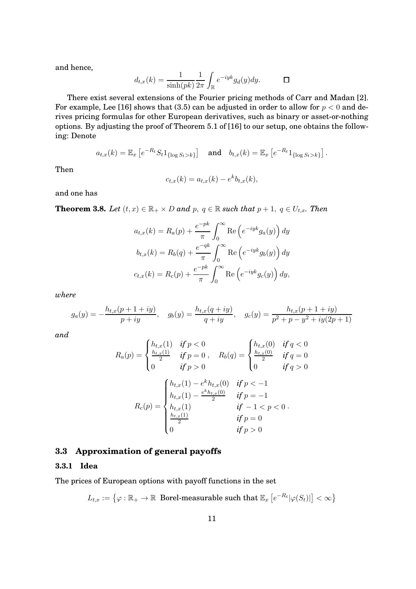and hence,

$$
d_{t,x}(k)=\frac{1}{\sinh (pk)}\frac{1}{2\pi}\int_{\mathbb{R}}e^{-iyk}g_d(y)dy.\qquad \qquad \Box
$$

There exist several extensions of the Fourier pricing methods of Carr and Madan [2]. For example, Lee [16] shows that (3.5) can be adjusted in order to allow for  $p < 0$  and derives pricing formulas for other European derivatives, such as binary or asset-or-nothing options. By adjusting the proof of Theorem 5.1 of [16] to our setup, one obtains the following: Denote

$$
a_{t,x}(k) = \mathbb{E}_x \left[ e^{-R_t} S_t \mathbb{1}_{\{\log S_t > k\}} \right] \quad \text{and} \quad b_{t,x}(k) = \mathbb{E}_x \left[ e^{-R_t} \mathbb{1}_{\{\log S_t > k\}} \right].
$$

Then

$$
c_{t,x}(k) = a_{t,x}(k) - e^k b_{t,x}(k),
$$

and one has

**Theorem 3.8.** *Let*  $(t, x) \in \mathbb{R}_+ \times D$  *and*  $p, q \in \mathbb{R}$  *such that*  $p + 1, q \in U_{t,x}$ *. Then* 

$$
a_{t,x}(k) = R_a(p) + \frac{e^{-pk}}{\pi} \int_0^\infty \text{Re}\left(e^{-iyk}g_a(y)\right) dy
$$

$$
b_{t,x}(k) = R_b(q) + \frac{e^{-qk}}{\pi} \int_0^\infty \text{Re}\left(e^{-iyk}g_b(y)\right) dy
$$

$$
c_{t,x}(k) = R_c(p) + \frac{e^{-pk}}{\pi} \int_0^\infty \text{Re}\left(e^{-iyk}g_c(y)\right) dy,
$$

*where*

$$
g_a(y) = -\frac{h_{t,x}(p+1+iy)}{p+iy}, \quad g_b(y) = \frac{h_{t,x}(q+iy)}{q+iy}, \quad g_c(y) = \frac{h_{t,x}(p+1+iy)}{p^2+p-y^2+iy(2p+1)}
$$

*and*

$$
R_a(p) = \begin{cases} h_{t,x}(1) & \text{if } p < 0 \\ \frac{h_{t,x}(1)}{2} & \text{if } p = 0 \\ 0 & \text{if } p > 0 \end{cases}, \quad R_b(q) = \begin{cases} h_{t,x}(0) & \text{if } q < 0 \\ \frac{h_{t,x}(0)}{2} & \text{if } q = 0 \\ 0 & \text{if } p > 0 \end{cases}
$$

$$
R_c(p) = \begin{cases} h_{t,x}(1) - e^k h_{t,x}(0) & \text{if } p < -1 \\ h_{t,x}(1) - \frac{e^k h_{t,x}(0)}{2} & \text{if } p = -1 \\ h_{t,x}(1) & \text{if } -1 < p < 0 \\ 0 & \text{if } p = 0 \end{cases}
$$

### **3.3 Approximation of general payoffs**

#### **3.3.1 Idea**

The prices of European options with payoff functions in the set

$$
L_{t,x} := \left\{ \varphi : \mathbb{R}_+ \to \mathbb{R} \text{ Borel-measurable such that } \mathbb{E}_x \left[ e^{-R_t} |\varphi(S_t)| \right] < \infty \right\}
$$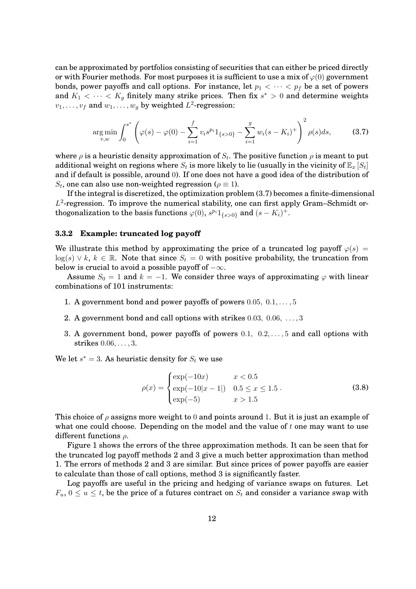can be approximated by portfolios consisting of securities that can either be priced directly or with Fourier methods. For most purposes it is sufficient to use a mix of  $\varphi(0)$  government bonds, power payoffs and call options. For instance, let  $p_1 < \cdots < p_f$  be a set of powers and  $K_1 < \cdots < K_g$  finitely many strike prices. Then fix  $s^* > 0$  and determine weights  $v_1, \ldots, v_f$  and  $w_1, \ldots, w_g$  by weighted  $L^2$ -regression:

$$
\underset{v,w}{\arg\min} \int_0^{s^*} \left( \varphi(s) - \varphi(0) - \sum_{i=1}^f v_i s^{p_i} 1_{\{s>0\}} - \sum_{i=1}^g w_i (s - K_i)^+ \right)^2 \rho(s) ds, \tag{3.7}
$$

where  $\rho$  is a heuristic density approximation of  $S_t.$  The positive function  $\rho$  is meant to put additional weight on regions where  $S_t$  is more likely to lie (usually in the vicinity of  $\mathbb{E}_x\left[S_t\right]$ and if default is possible, around 0). If one does not have a good idea of the distribution of  $S_t,$  one can also use non-weighted regression ( $\rho\equiv 1$ ).

If the integral is discretized, the optimization problem (3.7) becomes a finite-dimensional  $L^2$ -regression. To improve the numerical stability, one can first apply Gram–Schmidt orthogonalization to the basis functions  $\varphi(0)$ ,  $s^{p_i}1_{\{s>0\}}$  and  $(s-K_i)^+$ .

#### **3.3.2 Example: truncated log payoff**

We illustrate this method by approximating the price of a truncated log payoff  $\varphi(s)$  =  $log(s) \vee k, k \in \mathbb{R}$ . Note that since  $S_t = 0$  with positive probability, the truncation from below is crucial to avoid a possible payoff of  $-\infty$ .

Assume  $S_0 = 1$  and  $k = -1$ . We consider three ways of approximating  $\varphi$  with linear combinations of 101 instruments:

- 1. A government bond and power payoffs of powers  $0.05, 0.1, \ldots, 5$
- 2. A government bond and call options with strikes 0.03, 0.06, . . . , 3
- 3. A government bond, power payoffs of powers  $0.1, 0.2, \ldots, 5$  and call options with strikes 0.06, . . . , 3.

We let  $s^* = 3$ . As heuristic density for  $S_t$  we use

$$
\rho(x) = \begin{cases} \exp(-10x) & x < 0.5\\ \exp(-10|x-1|) & 0.5 \le x \le 1.5\\ \exp(-5) & x > 1.5 \end{cases}
$$
\n(3.8)

This choice of  $\rho$  assigns more weight to 0 and points around 1. But it is just an example of what one could choose. Depending on the model and the value of  $t$  one may want to use different functions  $\rho$ .

Figure 1 shows the errors of the three approximation methods. It can be seen that for the truncated log payoff methods 2 and 3 give a much better approximation than method 1. The errors of methods 2 and 3 are similar. But since prices of power payoffs are easier to calculate than those of call options, method 3 is significantly faster.

Log payoffs are useful in the pricing and hedging of variance swaps on futures. Let  $F_u$ ,  $0 \le u \le t$ , be the price of a futures contract on  $S_t$  and consider a variance swap with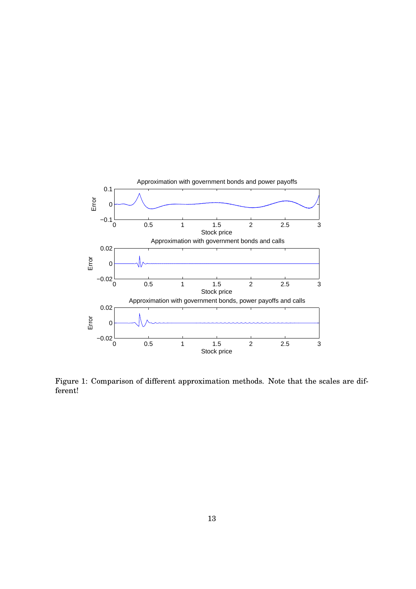

Figure 1: Comparison of different approximation methods. Note that the scales are different!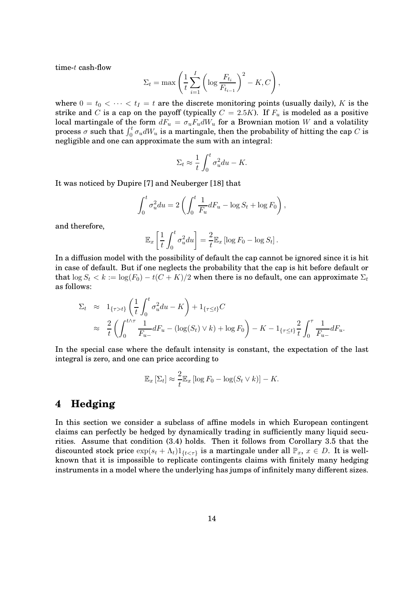time-t cash-flow

$$
\Sigma_t = \max\left(\frac{1}{t}\sum_{i=1}^I \left(\log \frac{F_{t_i}}{F_{t_{i-1}}}\right)^2 - K, C\right),\,
$$

where  $0 = t_0 < \cdots < t_I = t$  are the discrete monitoring points (usually daily), K is the strike and C is a cap on the payoff (typically  $C = 2.5K$ ). If  $F_u$  is modeled as a positive local martingale of the form  $dF_u = \sigma_u F_u dW_u$  for a Brownian motion W and a volatility process  $\sigma$  such that  $\int_0^t \sigma_u dW_u$  is a martingale, then the probability of hitting the cap  $C$  is negligible and one can approximate the sum with an integral:

$$
\Sigma_t \approx \frac{1}{t} \int_0^t \sigma_u^2 du - K.
$$

It was noticed by Dupire [7] and Neuberger [18] that

$$
\int_0^t \sigma_u^2 du = 2 \left( \int_0^t \frac{1}{F_u} dF_u - \log S_t + \log F_0 \right),
$$

and therefore,

$$
\mathbb{E}_x\left[\frac{1}{t}\int_0^t \sigma_u^2 du\right] = \frac{2}{t}\mathbb{E}_x\left[\log F_0 - \log S_t\right].
$$

In a diffusion model with the possibility of default the cap cannot be ignored since it is hit in case of default. But if one neglects the probability that the cap is hit before default or that  $\log S_t < k := \log(F_0) - t(C + K)/2$  when there is no default, one can approximate  $\Sigma_t$ as follows:

$$
\Sigma_t \approx 1_{\{\tau > t\}} \left( \frac{1}{t} \int_0^t \sigma_u^2 du - K \right) + 1_{\{\tau \le t\}} C
$$
  

$$
\approx \frac{2}{t} \left( \int_0^{t \wedge \tau} \frac{1}{F_{u-}} dF_u - (\log(S_t) \vee k) + \log F_0 \right) - K - 1_{\{\tau \le t\}} \frac{2}{t} \int_0^{\tau} \frac{1}{F_{u-}} dF_u.
$$

In the special case where the default intensity is constant, the expectation of the last integral is zero, and one can price according to

$$
\mathbb{E}_x [\Sigma_t] \approx \frac{2}{t} \mathbb{E}_x [\log F_0 - \log(S_t \vee k)] - K.
$$

### **4 Hedging**

In this section we consider a subclass of affine models in which European contingent claims can perfectly be hedged by dynamically trading in sufficiently many liquid securities. Assume that condition (3.4) holds. Then it follows from Corollary 3.5 that the discounted stock price  $\exp(s_t + \Lambda_t)1_{\{t < \tau\}}$  is a martingale under all  $\mathbb{P}_x$ ,  $x \in D$ . It is wellknown that it is impossible to replicate contingents claims with finitely many hedging instruments in a model where the underlying has jumps of infinitely many different sizes.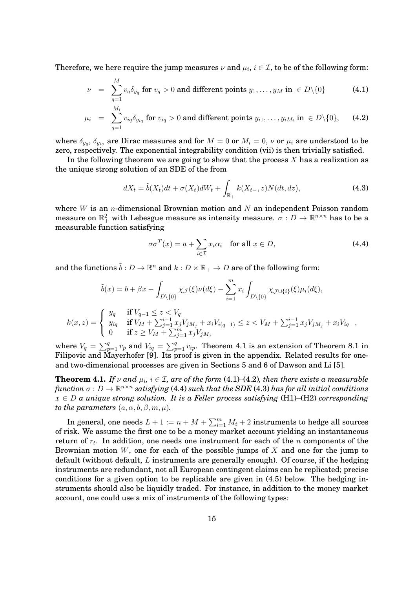Therefore, we here require the jump measures  $\nu$  and  $\mu_i,$   $i\in\mathcal{I},$  to be of the following form:

$$
\nu = \sum_{q=1}^{M} v_q \delta_{y_q} \text{ for } v_q > 0 \text{ and different points } y_1, \ldots, y_M \text{ in } \in D \setminus \{0\}
$$
 (4.1)

$$
\mu_i = \sum_{q=1}^{M_i} v_{iq} \delta_{y_{iq}}
$$
 for  $v_{iq} > 0$  and different points  $y_{i1}, \ldots, y_{iM_i}$  in  $\in D \setminus \{0\},$  (4.2)

where  $\delta_{y_q},\,\delta_{y_{iq}}$  are Dirac measures and for  $M=0$  or  $M_i=0,\,\nu$  or  $\mu_i$  are understood to be zero, respectively. The exponential integrability condition (vii) is then trivially satisfied.

In the following theorem we are going to show that the process  $X$  has a realization as the unique strong solution of an SDE of the from

$$
dX_t = \tilde{b}(X_t)dt + \sigma(X_t)dW_t + \int_{\mathbb{R}_+} k(X_{t-}, z)N(dt, dz),
$$
\n(4.3)

where  $W$  is an *n*-dimensional Brownian motion and  $N$  an independent Poisson random measure on  $\mathbb{R}_+^2$  with Lebesgue measure as intensity measure.  $\sigma:D\to\mathbb{R}^{n\times n}$  has to be a measurable function satisfying

$$
\sigma \sigma^{T}(x) = a + \sum_{i \in \mathcal{I}} x_{i} \alpha_{i} \quad \text{for all } x \in D,
$$
 (4.4)

and the functions  $\tilde{b} : D \to \mathbb{R}^n$  and  $k : D \times \mathbb{R}_+ \to D$  are of the following form:

$$
\tilde{b}(x) = b + \beta x - \int_{D \setminus \{0\}} \chi_{\mathcal{J}}(\xi) \nu(d\xi) - \sum_{i=1}^{m} x_i \int_{D \setminus \{0\}} \chi_{\mathcal{J} \cup \{i\}}(\xi) \mu_i(d\xi),
$$
\n
$$
k(x, z) = \begin{cases}\ny_q & \text{if } V_{q-1} \le z < V_q \\
y_{iq} & \text{if } V_M + \sum_{j=1}^{i-1} x_j V_{jM_j} + x_i V_{i(q-1)} \le z < V_M + \sum_{j=1}^{i-1} x_j V_{jM_j} + x_i V_{iq} , \\
0 & \text{if } z \ge V_M + \sum_{j=1}^{m} x_j V_{jM_j}\n\end{cases}
$$

where  $V_q = \sum_{p=1}^q v_p$  and  $V_{iq} = \sum_{p=1}^q v_{ip}$ . Theorem 4.1 is an extension of Theorem 8.1 in Filipovic and Mayerhofer [9]. Its proof is given in the appendix. Related results for oneand two-dimensional processes are given in Sections 5 and 6 of Dawson and Li [5].

**Theorem 4.1.** *If v and*  $\mu_i$ *,*  $i \in \mathcal{I}$ *, are of the form* (4.1)–(4.2)*, then there exists a measurable*  $\hat{p}$  *function*  $\sigma : D \to \mathbb{R}^{n \times n}$  *satisfying* (4.4) *such that the SDE* (4.3) *has for all initial conditions* x ∈ D *a unique strong solution. It is a Feller process satisfying* (H1)–(H2) *corresponding to the parameters*  $(a, \alpha, b, \beta, m, \mu)$ *.* 

In general, one needs  $L+1 := n + M + \sum_{i=1}^{m} M_i + 2$  instruments to hedge all sources of risk. We assume the first one to be a money market account yielding an instantaneous return of  $r_t$ . In addition, one needs one instrument for each of the  $n$  components of the Brownian motion  $W$ , one for each of the possible jumps of  $X$  and one for the jump to default (without default, L instruments are generally enough). Of course, if the hedging instruments are redundant, not all European contingent claims can be replicated; precise conditions for a given option to be replicable are given in (4.5) below. The hedging instruments should also be liquidly traded. For instance, in addition to the money market account, one could use a mix of instruments of the following types: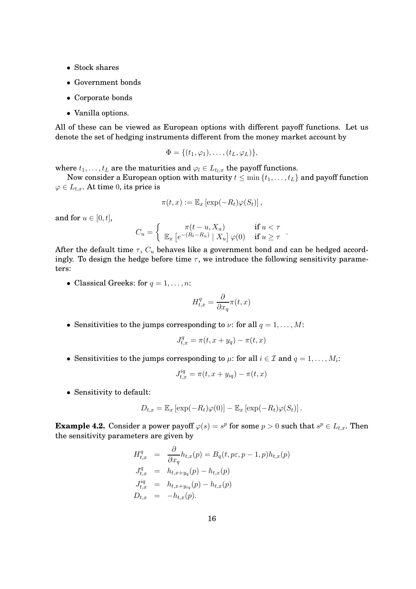- Stock shares
- Government bonds
- Corporate bonds
- Vanilla options.

All of these can be viewed as European options with different payoff functions. Let us denote the set of hedging instruments different from the money market account by

$$
\Phi = \{(t_1, \varphi_1), \ldots, (t_L, \varphi_L)\},\
$$

where  $t_1, \ldots, t_L$  are the maturities and  $\varphi_l \in L_{t_l,x}$  the payoff functions.

Now consider a European option with maturity  $t \leq \min\{t_1, \ldots, t_L\}$  and payoff function  $\varphi \in L_{t,x}$ . At time 0, its price is

$$
\pi(t,x) := \mathbb{E}_x \left[ \exp(-R_t) \varphi(S_t) \right],
$$

and for  $u \in [0, t]$ ,

$$
C_u = \begin{cases} \pi(t - u, X_u) & \text{if } u < \tau \\ \mathbb{E}_x \left[ e^{-(R_t - R_u)} \mid X_u \right] \varphi(0) & \text{if } u \ge \tau \end{cases}
$$

.

After the default time  $\tau$ ,  $C_u$  behaves like a government bond and can be hedged accordingly. To design the hedge before time  $\tau$ , we introduce the following sensitivity parameters:

• Classical Greeks: for  $q = 1, \ldots, n$ :

$$
H_{t,x}^q = \frac{\partial}{\partial x_q} \pi(t,x)
$$

• Sensitivities to the jumps corresponding to  $\nu$ : for all  $q = 1, \ldots, M$ :

$$
J_{t,x}^q = \pi(t, x + y_q) - \pi(t, x)
$$

• Sensitivities to the jumps corresponding to  $\mu$ : for all  $i \in \mathcal{I}$  and  $q = 1, \ldots, M_i$ :

$$
J_{t,x}^{iq} = \pi(t, x + y_{iq}) - \pi(t, x)
$$

• Sensitivity to default:

$$
D_{t,x} = \mathbb{E}_x [\exp(-R_t)\varphi(0)] - \mathbb{E}_x [\exp(-R_t)\varphi(S_t)].
$$

**Example 4.2.** Consider a power payoff  $\varphi(s) = s^p$  for some  $p > 0$  such that  $s^p \in L_{t,x}$ . Then the sensitivity parameters are given by

$$
H_{t,x}^q = \frac{\partial}{\partial x_q} h_{t,x}(p) = B_q(t, p\varepsilon, p-1, p) h_{t,x}(p)
$$
  
\n
$$
J_{t,x}^q = h_{t,x+y_q}(p) - h_{t,x}(p)
$$
  
\n
$$
J_{t,x}^{iq} = h_{t,x+y_{iq}}(p) - h_{t,x}(p)
$$
  
\n
$$
D_{t,x} = -h_{t,x}(p).
$$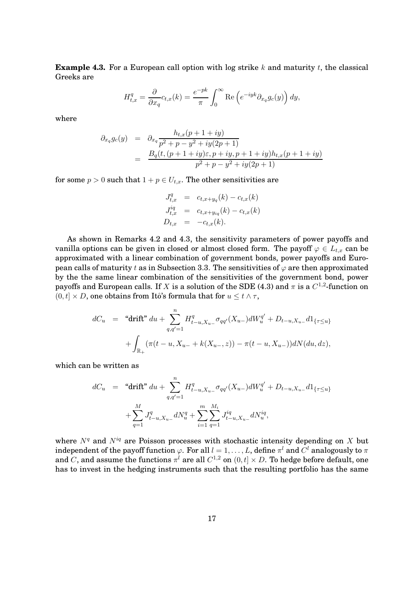**Example 4.3.** For a European call option with log strike  $k$  and maturity  $t$ , the classical Greeks are

$$
H_{t,x}^q = \frac{\partial}{\partial x_q} c_{t,x}(k) = \frac{e^{-pk}}{\pi} \int_0^\infty \text{Re}\left(e^{-iyk}\partial_{x_q}g_c(y)\right) dy,
$$

where

$$
\partial_{x_q} g_c(y) = \partial_{x_q} \frac{h_{t,x}(p+1+iy)}{p^2 + p - y^2 + iy(2p+1)} \n= \frac{B_q(t,(p+1+iy)\varepsilon, p+iy, p+1+iy)h_{t,x}(p+1+iy)}{p^2 + p - y^2 + iy(2p+1)}
$$

for some  $p > 0$  such that  $1 + p \in U_{t,x}$ . The other sensitivities are

$$
J_{t,x}^q = c_{t,x+y_q}(k) - c_{t,x}(k)
$$
  
\n
$$
J_{t,x}^{iq} = c_{t,x+y_{iq}}(k) - c_{t,x}(k)
$$
  
\n
$$
D_{t,x} = -c_{t,x}(k).
$$

As shown in Remarks 4.2 and 4.3, the sensitivity parameters of power payoffs and vanilla options can be given in closed or almost closed form. The payoff  $\varphi \in L_{t,x}$  can be approximated with a linear combination of government bonds, power payoffs and European calls of maturity t as in Subsection 3.3. The sensitivities of  $\varphi$  are then approximated by the the same linear combination of the sensitivities of the government bond, power payoffs and European calls. If X is a solution of the SDE (4.3) and  $\pi$  is a  $C^{1,2}$ -function on  $(0, t] \times D$ , one obtains from Itô's formula that for  $u \leq t \wedge \tau$ ,

$$
dC_u = \text{``drift''} du + \sum_{q,q'=1}^n H_{t-u,X_{u-}}^q \sigma_{qq'}(X_{u-}) dW_u^{q'} + D_{t-u,X_{u-}} d1_{\{\tau \le u\}} + \int_{\mathbb{R}_+} (\pi(t-u, X_{u-} + k(X_{u-}, z)) - \pi(t-u, X_{u-})) dN(du, dz),
$$

which can be written as

$$
dC_u = \text{``drift''} du + \sum_{q,q'=1}^n H_{t-u,X_{u-}}^q \sigma_{qq'}(X_{u-}) dW_u^{q'} + D_{t-u,X_{u-}} d1_{\{\tau \le u\}}
$$

$$
+ \sum_{q=1}^M J_{t-u,X_{u-}}^q dN_u^q + \sum_{i=1}^m \sum_{q=1}^{M_i} J_{t-u,X_{u-}}^{iq} dN_u^{iq},
$$

where  $N<sup>q</sup>$  and  $N<sup>iq</sup>$  are Poisson processes with stochastic intensity depending on X but independent of the payoff function  $\varphi.$  For all  $l=1,\ldots,L,$  define  $\pi^l$  and  $C^l$  analogously to  $\pi$ and  $C$ , and assume the functions  $\pi^l$  are all  $C^{1,2}$  on  $(0,t]\times D.$  To hedge before default, one has to invest in the hedging instruments such that the resulting portfolio has the same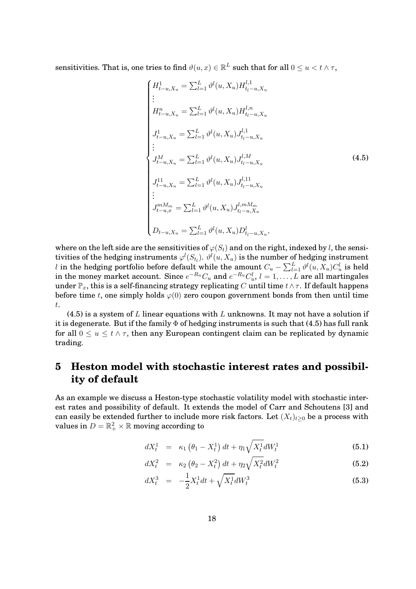sensitivities. That is, one tries to find  $\vartheta(u,x)\in\mathbb{R}^L$  such that for all  $0\leq u < t\wedge\tau,$ 

$$
\begin{cases}\nH_{t-u,X_u}^1 = \sum_{l=1}^L \vartheta^l(u, X_u) H_{t_l-u,X_u}^{l,1} \\
\vdots \\
H_{t-u,X_u}^n = \sum_{l=1}^L \vartheta^l(u, X_u) H_{t_l-u,X_u}^{l,n} \\
J_{t-u,X_u}^1 = \sum_{l=1}^L \vartheta^l(u, X_u) J_{t_l-u,X_u}^{l,1} \\
\vdots \\
J_{t-u,X_u}^M = \sum_{l=1}^L \vartheta^l(u, X_u) J_{t_l-u,X_u}^{l,M} \\
J_{t-u,X_u}^{11} = \sum_{l=1}^L \vartheta^l(u, X_u) J_{t_l-u,X_u}^{l,11} \\
\vdots \\
J_{t-u,x}^{mM_m} = \sum_{l=1}^L \vartheta^l(u, X_u) J_{t_l-u,X_u}^{l,mM_m} \\
D_{t-u,X_u} = \sum_{l=1}^L \vartheta^l(u, X_u) D_{t_l-u,X_u}^l,\n\end{cases}
$$
\n(4.5)

where on the left side are the sensitivities of  $\varphi(S_t)$  and on the right, indexed by l, the sensitivities of the hedging instruments  $\varphi^l(S_{t_l}).\ \vartheta^l(u,X_u)$  is the number of hedging instrument *l* in the hedging portfolio before default while the amount  $C_u - \sum_{l=1}^L \vartheta^l(u,X_u) C_u^l$  is held in the money market account. Since  $e^{-R_u}C_u$  and  $e^{-R_u}C_u^l$ ,  $l=1,\ldots,L$  are all martingales under  $\mathbb{P}_x$ , this is a self-financing strategy replicating C until time  $t \wedge \tau$ . If default happens before time t, one simply holds  $\varphi(0)$  zero coupon government bonds from then until time t.

 $(4.5)$  is a system of L linear equations with L unknowns. It may not have a solution if it is degenerate. But if the family  $\Phi$  of hedging instruments is such that (4.5) has full rank for all  $0 \le u \le t \wedge \tau$ , then any European contingent claim can be replicated by dynamic trading.

# **5 Heston model with stochastic interest rates and possibility of default**

As an example we discuss a Heston-type stochastic volatility model with stochastic interest rates and possibility of default. It extends the model of Carr and Schoutens [3] and can easily be extended further to include more risk factors. Let  $(X_t)_{t\geq0}$  be a process with values in  $D=\mathbb{R}_+^2\times\mathbb{R}$  moving according to

$$
dX_t^1 = \kappa_1 \left( \theta_1 - X_t^1 \right) dt + \eta_1 \sqrt{X_t^1} dW_t^1 \tag{5.1}
$$

$$
dX_t^2 = \kappa_2 \left(\theta_2 - X_t^2\right) dt + \eta_2 \sqrt{X_t^2} dW_t^2 \tag{5.2}
$$

$$
dX_t^3 = -\frac{1}{2}X_t^1 dt + \sqrt{X_t^1} dW_t^3
$$
\n(5.3)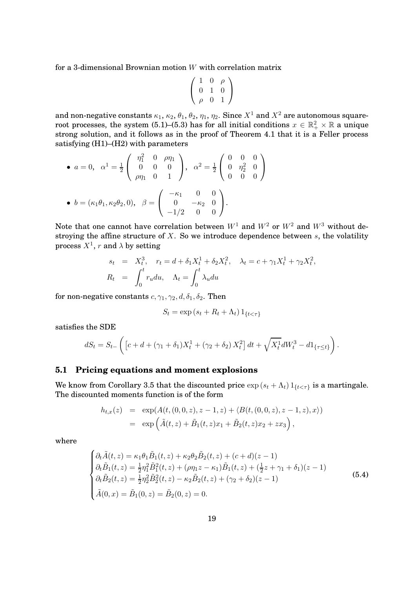for a 3-dimensional Brownian motion W with correlation matrix

$$
\left(\begin{array}{rrr} 1 & 0 & \rho \\ 0 & 1 & 0 \\ \rho & 0 & 1 \end{array}\right)
$$

and non-negative constants  $\kappa_1$ ,  $\kappa_2$ ,  $\theta_1$ ,  $\theta_2$ ,  $\eta_1$ ,  $\eta_2$ . Since  $X^1$  and  $X^2$  are autonomous squareroot processes, the system (5.1)–(5.3) has for all initial conditions  $x\in\mathbb{R}_+^2\times\mathbb{R}$  a unique strong solution, and it follows as in the proof of Theorem 4.1 that it is a Feller process satisfying (H1)–(H2) with parameters

• 
$$
a = 0
$$
,  $\alpha^1 = \frac{1}{2} \begin{pmatrix} \eta_1^2 & 0 & \rho \eta_1 \\ 0 & 0 & 0 \\ \rho \eta_1 & 0 & 1 \end{pmatrix}$ ,  $\alpha^2 = \frac{1}{2} \begin{pmatrix} 0 & 0 & 0 \\ 0 & \eta_2^2 & 0 \\ 0 & 0 & 0 \end{pmatrix}$   
\n•  $b = (\kappa_1 \theta_1, \kappa_2 \theta_2, 0)$ ,  $\beta = \begin{pmatrix} -\kappa_1 & 0 & 0 \\ 0 & -\kappa_2 & 0 \\ -1/2 & 0 & 0 \end{pmatrix}$ .

Note that one cannot have correlation between  $W^1$  and  $W^2$  or  $W^2$  and  $W^3$  without destroying the affine structure of  $X$ . So we introduce dependence between  $s$ , the volatility process  $X^1$ , r and  $\lambda$  by setting

$$
s_t = X_t^3, \quad r_t = d + \delta_1 X_t^1 + \delta_2 X_t^2, \quad \lambda_t = c + \gamma_1 X_t^1 + \gamma_2 X_t^2,
$$
  

$$
R_t = \int_0^t r_u du, \quad \Lambda_t = \int_0^t \lambda_u du
$$

for non-negative constants  $c, \gamma_1, \gamma_2, d, \delta_1, \delta_2$ . Then

$$
S_t = \exp\left(s_t + R_t + \Lambda_t\right) \mathbb{1}_{\{t < \tau\}}
$$

satisfies the SDE

$$
dS_t = S_{t-} \left( \left[ c + d + (\gamma_1 + \delta_1) X_t^1 + (\gamma_2 + \delta_2) X_t^2 \right] dt + \sqrt{X_t^1} dW_t^3 - d \mathbf{1}_{\{\tau \le t\}} \right).
$$

#### **5.1 Pricing equations and moment explosions**

We know from Corollary 3.5 that the discounted price  $\exp(s_t + \Lambda_t) 1_{\{t < \tau\}}$  is a martingale. The discounted moments function is of the form

$$
h_{t,x}(z) = \exp(A(t, (0, 0, z), z - 1, z) + \langle B(t, (0, 0, z), z - 1, z), x \rangle)
$$
  
= 
$$
\exp\left(\tilde{A}(t, z) + \tilde{B}_1(t, z)x_1 + \tilde{B}_2(t, z)x_2 + zx_3\right),
$$

where

$$
\begin{cases}\n\partial_t \tilde{A}(t,z) = \kappa_1 \theta_1 \tilde{B}_1(t,z) + \kappa_2 \theta_2 \tilde{B}_2(t,z) + (c+d)(z-1) \\
\partial_t \tilde{B}_1(t,z) = \frac{1}{2} \eta_1^2 \tilde{B}_1^2(t,z) + (\rho \eta_1 z - \kappa_1) \tilde{B}_1(t,z) + (\frac{1}{2}z + \gamma_1 + \delta_1)(z-1) \\
\partial_t \tilde{B}_2(t,z) = \frac{1}{2} \eta_2^2 \tilde{B}_2^2(t,z) - \kappa_2 \tilde{B}_2(t,z) + (\gamma_2 + \delta_2)(z-1) \\
\tilde{A}(0,x) = \tilde{B}_1(0,z) = \tilde{B}_2(0,z) = 0.\n\end{cases}
$$
\n(5.4)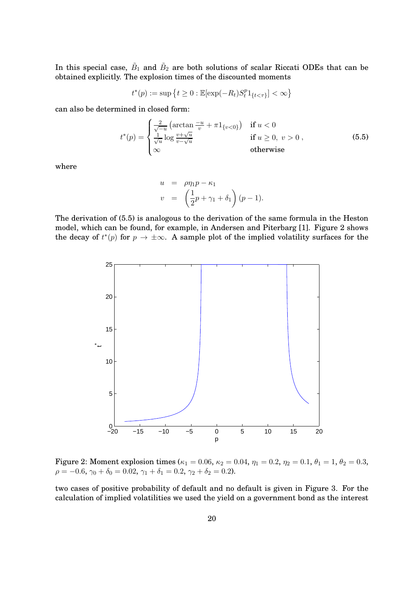In this special case,  $\tilde{B}_1$  and  $\tilde{B}_2$  are both solutions of scalar Riccati ODEs that can be obtained explicitly. The explosion times of the discounted moments

$$
t^*(p):=\sup\left\{t\geq 0: \mathbb E[\exp(-R_t)S_t^p1_{\{t<\tau\}}]<\infty\right\}
$$

can also be determined in closed form:

$$
t^*(p) = \begin{cases} \frac{2}{\sqrt{-u}} \left( \arctan \frac{-u}{v} + \pi 1_{\{v < 0\}} \right) & \text{if } u < 0\\ \frac{1}{\sqrt{u}} \log \frac{v + \sqrt{u}}{v - \sqrt{u}} & \text{if } u \ge 0, \ v > 0\\ \infty & \text{otherwise} \end{cases} \tag{5.5}
$$

where

$$
u = \rho \eta_1 p - \kappa_1
$$
  

$$
v = \left(\frac{1}{2}p + \gamma_1 + \delta_1\right)(p - 1).
$$

The derivation of (5.5) is analogous to the derivation of the same formula in the Heston model, which can be found, for example, in Andersen and Piterbarg [1]. Figure 2 shows the decay of  $t^*(p)$  for  $p \to \pm \infty$ . A sample plot of the implied volatility surfaces for the



Figure 2: Moment explosion times ( $\kappa_1 = 0.06$ ,  $\kappa_2 = 0.04$ ,  $\eta_1 = 0.2$ ,  $\eta_2 = 0.1$ ,  $\theta_1 = 1$ ,  $\theta_2 = 0.3$ ,  $\rho = -0.6, \, \gamma_0 + \delta_0 = 0.02, \, \gamma_1 + \delta_1 = 0.2, \, \gamma_2 + \delta_2 = 0.2$ ).

two cases of positive probability of default and no default is given in Figure 3. For the calculation of implied volatilities we used the yield on a government bond as the interest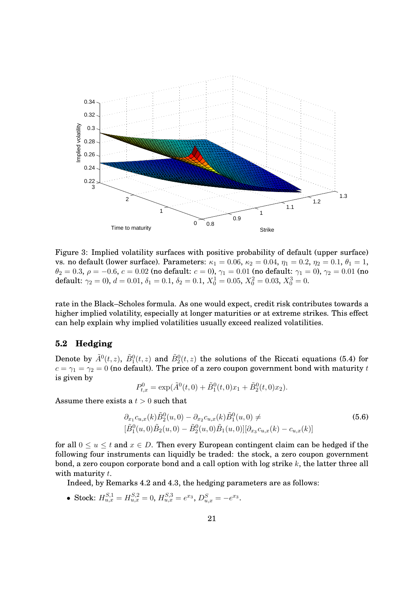

Figure 3: Implied volatility surfaces with positive probability of default (upper surface) vs. no default (lower surface). Parameters:  $κ_1 = 0.06$ ,  $κ_2 = 0.04$ ,  $η_1 = 0.2$ ,  $η_2 = 0.1$ ,  $θ_1 = 1$ ,  $\theta_2=0.3,\,\rho=-0.6,\,c=0.02$  (no default:  $c=0$ ),  $\gamma_1=0.01$  (no default:  $\gamma_1=0$ ),  $\gamma_2=0.01$  (no default:  $\gamma_2 = 0$ ,  $d = 0.01$ ,  $\delta_1 = 0.1$ ,  $\delta_2 = 0.1$ ,  $X_0^1 = 0.05$ ,  $X_0^2 = 0.03$ ,  $X_0^3 = 0$ .

rate in the Black–Scholes formula. As one would expect, credit risk contributes towards a higher implied volatility, especially at longer maturities or at extreme strikes. This effect can help explain why implied volatilities usually exceed realized volatilities.

#### **5.2 Hedging**

Denote by  $\tilde{A}^0(t, z)$ ,  $\tilde{B}_1^0(t, z)$  and  $\tilde{B}_2^0(t, z)$  the solutions of the Riccati equations (5.4) for  $c = \gamma_1 = \gamma_2 = 0$  (no default). The price of a zero coupon government bond with maturity t is given by

$$
P_{t,x}^{0} = \exp(\tilde{A}^{0}(t,0) + \tilde{B}_{1}^{0}(t,0)x_{1} + \tilde{B}_{2}^{0}(t,0)x_{2}).
$$

Assume there exists a  $t > 0$  such that

$$
\partial_{x_1} c_{u,x}(k) \tilde{B}_2^0(u,0) - \partial_{x_2} c_{u,x}(k) \tilde{B}_1^0(u,0) \neq
$$
\n
$$
[\tilde{B}_1^0(u,0) \tilde{B}_2(u,0) - \tilde{B}_2^0(u,0) \tilde{B}_1(u,0)][\partial_{x_3} c_{u,x}(k) - c_{u,x}(k)]
$$
\n(5.6)

for all  $0 \le u \le t$  and  $x \in D$ . Then every European contingent claim can be hedged if the following four instruments can liquidly be traded: the stock, a zero coupon government bond, a zero coupon corporate bond and a call option with  $\log$  strike k, the latter three all with maturity t.

Indeed, by Remarks 4.2 and 4.3, the hedging parameters are as follows:

• Stock:  $H_{u,x}^{S,1} = H_{u,x}^{S,2} = 0$ ,  $H_{u,x}^{S,3} = e^{x_3}$ ,  $D_{u,x}^{S} = -e^{x_3}$ .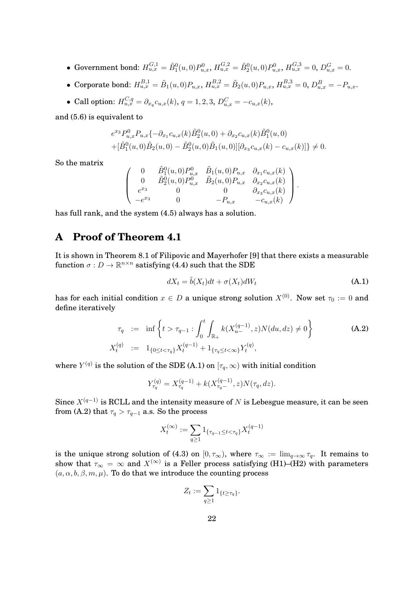- $\bullet \text{ Government bond: } H_{u,x}^{G,1} = \tilde{B}_1^0(u,0) P_{u,x}^0, \, H_{u,x}^{G,2} = \tilde{B}_2^0(u,0) P_{u,x}^0, \, H_{u,x}^{G,3} = 0, \, D_{u,x}^G = 0.$
- Corporate bond:  $H_{u,x}^{B,1} = \tilde{B}_1(u,0)P_{u,x}, H_{u,x}^{B,2} = \tilde{B}_2(u,0)P_{u,x}, H_{u,x}^{B,3} = 0, D_{u,x}^B = -P_{u,x}.$
- Call option:  $H_{u,x}^{C,q} = \partial_{x_q} c_{u,x}(k)$ ,  $q = 1, 2, 3$ ,  $D_{u,x}^C = -c_{u,x}(k)$ ,

and (5.6) is equivalent to

$$
e^{x_3} P_{u,x}^0 P_{u,x} \{-\partial_{x_1} c_{u,x}(k) \tilde{B}_2^0(u,0) + \partial_{x_2} c_{u,x}(k) \tilde{B}_1^0(u,0) + [\tilde{B}_1^0(u,0) \tilde{B}_2(u,0) - \tilde{B}_2^0(u,0) \tilde{B}_1(u,0)][\partial_{x_3} c_{u,x}(k) - c_{u,x}(k)]\} \neq 0.
$$

So the matrix

$$
\begin{pmatrix}\n0 & \tilde{B}_1^0(u,0)P_{u,x}^0 & \tilde{B}_1(u,0)P_{u,x} & \partial_{x_1}c_{u,x}(k) \\
0 & \tilde{B}_2^0(u,0)P_{u,x}^0 & \tilde{B}_2(u,0)P_{u,x} & \partial_{x_2}c_{u,x}(k) \\
e^{x_3} & 0 & 0 & \partial_{x_3}c_{u,x}(k) \\
-e^{x_3} & 0 & -P_{u,x} & -c_{u,x}(k)\n\end{pmatrix}.
$$

has full rank, and the system (4.5) always has a solution.

# **A Proof of Theorem 4.1**

It is shown in Theorem 8.1 of Filipovic and Mayerhofer [9] that there exists a measurable function  $\sigma: D \to \mathbb{R}^{n \times n}$  satisfying (4.4) such that the SDE

$$
dX_t = \tilde{b}(X_t)dt + \sigma(X_t)dW_t
$$
\n(A.1)

has for each initial condition  $x \in D$  a unique strong solution  $X^{(0)}$ . Now set  $\tau_0 := 0$  and define iteratively

$$
\tau_q := \inf \left\{ t > \tau_{q-1} : \int_0^t \int_{\mathbb{R}_+} k(X_{u-}^{(q-1)}, z) N(du, dz) \neq 0 \right\}
$$
\n
$$
X_t^{(q)} := 1_{\{0 \le t < \tau_q\}} X_t^{(q-1)} + 1_{\{\tau_q \le t < \infty\}} Y_t^{(q)},
$$
\n(A.2)

where  $Y^{(q)}$  is the solution of the SDE (A.1) on  $[\tau_q,\infty)$  with initial condition

$$
Y_{\tau_q}^{(q)} = X_{\tau_q}^{(q-1)} + k(X_{\tau_q-}^{(q-1)}, z)N(\tau_q, dz).
$$

Since  $X^{(q-1)}$  is RCLL and the intensity measure of N is Lebesgue measure, it can be seen from (A.2) that  $\tau_q > \tau_{q-1}$  a.s. So the process

$$
X_t^{(\infty)} := \sum_{q \ge 1} 1_{\{\tau_{q-1} \le t < \tau_q\}} X_t^{(q-1)}
$$

is the unique strong solution of (4.3) on  $[0, \tau_{\infty})$ , where  $\tau_{\infty} := \lim_{q \to \infty} \tau_q$ . It remains to show that  $\tau_{\infty} = \infty$  and  $X^{(\infty)}$  is a Feller process satisfying (H1)–(H2) with parameters  $(a, \alpha, b, \beta, m, \mu)$ . To do that we introduce the counting process

$$
Z_t := \sum_{q\geq 1} 1_{\{t\geq \tau_q\}}.
$$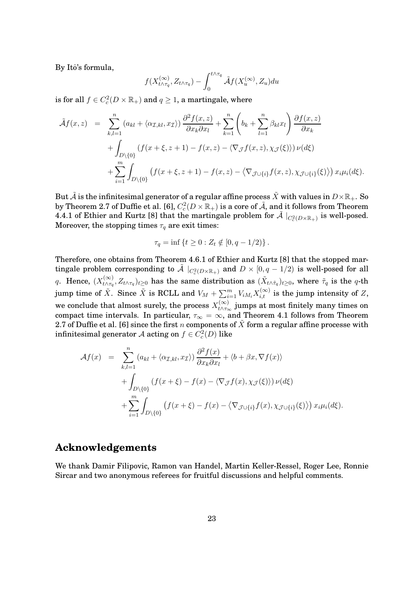By Itô's formula.

$$
f(X_{t \wedge \tau_q}^{(\infty)}, Z_{t \wedge \tau_q}) - \int_0^{t \wedge \tau_q} \tilde{\mathcal{A}} f(X_u^{(\infty)}, Z_u) du
$$

is for all  $f\in C^2_c(D\times\mathbb{R}_+)$  and  $q\geq 1$ , a martingale, where

$$
\tilde{\mathcal{A}}f(x,z) = \sum_{k,l=1}^{n} (a_{kl} + \langle \alpha_{\mathcal{I},kl}, x_{\mathcal{I}} \rangle) \frac{\partial^2 f(x,z)}{\partial x_k \partial x_l} + \sum_{k=1}^{n} \left( b_k + \sum_{l=1}^{n} \beta_{kl} x_l \right) \frac{\partial f(x,z)}{\partial x_k} + \int_{D \setminus \{0\}} (f(x+\xi,z+1) - f(x,z) - \langle \nabla_{\mathcal{J}} f(x,z), \chi_{\mathcal{J}}(\xi) \rangle) \nu(d\xi) + \sum_{i=1}^{m} \int_{D \setminus \{0\}} \left( f(x+\xi,z+1) - f(x,z) - \langle \nabla_{\mathcal{J} \cup \{i\}} f(x,z), \chi_{\mathcal{J} \cup \{i\}}(\xi) \rangle \right) x_i \mu_i(d\xi).
$$

But  $\tilde{\mathcal{A}}$  is the infinitesimal generator of a regular affine process  $\tilde{X}$  with values in  $D\times\mathbb{R}_+$ . So by Theorem 2.7 of Duffie et al. [6],  $C^2_c(D\times\mathbb{R}_+)$  is a core of  $\tilde{\mathcal{A}},$  and it follows from Theorem 4.4.1 of Ethier and Kurtz [8] that the martingale problem for  $\tilde{\mathcal{A}}\mid_{C_c^2(D\times\mathbb{R}_+)}$  is well-posed. Moreover, the stopping times  $\tau_q$  are exit times:

$$
\tau_q = \inf \{ t \ge 0 : Z_t \notin [0, q - 1/2) \} .
$$

Therefore, one obtains from Theorem 4.6.1 of Ethier and Kurtz [8] that the stopped martingale problem corresponding to  $\tilde{\mathcal{A}}\mid_{C_c^2(D\times\mathbb{R}_+)}$  and  $D\times[0,q-1/2)$  is well-posed for all q. Hence,  $(X_{t \wedge \tau_a}^{(\infty)})$  $\tau^{(\infty)}_{t\wedge\tau_q},Z_{t\wedge\tau_q})_{t\geq 0}$  has the same distribution as  $(\tilde X_{t\wedge\tilde\tau_q})_{t\geq 0}$ , where  $\tilde\tau_q$  is the  $q$ -th jump time of  $\tilde{X}.$  Since  $\tilde{X}$  is RCLL and  $V_M+\sum_{i=1}^m V_{iM_i}X_{i,t}^{(\infty)}$  is the jump intensity of  $Z,$ we conclude that almost surely, the process  $X_{t\wedge\tau_{\alpha}}^{(\infty)}$  $t \chi_{t \wedge \tau_{\infty}}$  jumps at most finitely many times on compact time intervals. In particular,  $\tau_{\infty} = \infty$ , and Theorem 4.1 follows from Theorem 2.7 of Duffie et al. [6] since the first n components of  $\tilde{X}$  form a regular affine processe with  ${\rm infinite}$ simal generator  ${\cal A}$  acting on  $f\in C^2_c(D)$  like

$$
\mathcal{A}f(x) = \sum_{k,l=1}^{n} (a_{kl} + \langle \alpha_{\mathcal{I},kl}, x_{\mathcal{I}} \rangle) \frac{\partial^2 f(x)}{\partial x_k \partial x_l} + \langle b + \beta x, \nabla f(x) \rangle \n+ \int_{D \setminus \{0\}} (f(x + \xi) - f(x) - \langle \nabla_{\mathcal{J}} f(x), \chi_{\mathcal{J}}(\xi) \rangle) \nu(d\xi) \n+ \sum_{i=1}^{m} \int_{D \setminus \{0\}} (f(x + \xi) - f(x) - \langle \nabla_{\mathcal{J} \cup \{i\}} f(x), \chi_{\mathcal{J} \cup \{i\}}(\xi) \rangle) x_i \mu_i(d\xi).
$$

### **Acknowledgements**

We thank Damir Filipovic, Ramon van Handel, Martin Keller-Ressel, Roger Lee, Ronnie Sircar and two anonymous referees for fruitful discussions and helpful comments.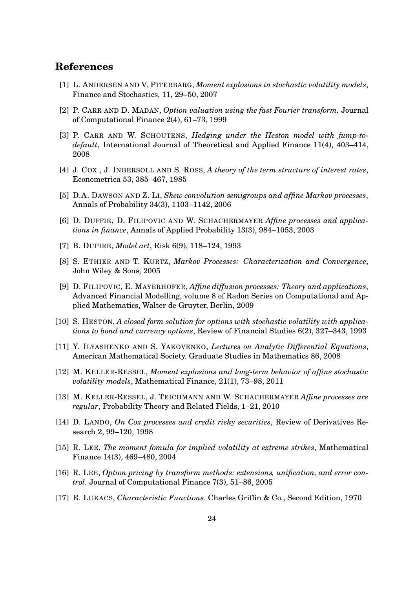### **References**

- [1] L. ANDERSEN AND V. PITERBARG, *Moment explosions in stochastic volatility models*, Finance and Stochastics, 11, 29–50, 2007
- [2] P. CARR AND D. MADAN, *Option valuation using the fast Fourier transform.* Journal of Computational Finance 2(4), 61–73, 1999
- [3] P. CARR AND W. SCHOUTENS, *Hedging under the Heston model with jump-todefault*, International Journal of Theoretical and Applied Finance 11(4), 403–414, 2008
- [4] J. COX , J. INGERSOLL AND S. ROSS, *A theory of the term structure of interest rates*, Econometrica 53, 385–467, 1985
- [5] D.A. DAWSON AND Z. LI, *Skew convolution semigroups and affine Markov processes*, Annals of Probability 34(3), 1103–1142, 2006
- [6] D. DUFFIE, D. FILIPOVIC AND W. SCHACHERMAYER *Affine processes and applications in finance*, Annals of Applied Probability 13(3), 984–1053, 2003
- [7] B. DUPIRE, *Model art*, Risk 6(9), 118–124, 1993
- [8] S. ETHIER AND T. KURTZ, *Markov Processes: Characterization and Convergence*, John Wiley & Sons, 2005
- [9] D. FILIPOVIC, E. MAYERHOFER, *Affine diffusion processes: Theory and applications*, Advanced Financial Modelling, volume 8 of Radon Series on Computational and Applied Mathematics, Walter de Gruyter, Berlin, 2009
- [10] S. HESTON, *A closed form solution for options with stochastic volatility with applications to bond and currency options*, Review of Financial Studies 6(2), 327–343, 1993
- [11] Y. ILYASHENKO AND S. YAKOVENKO, *Lectures on Analytic Differential Equations*, American Mathematical Society. Graduate Studies in Mathematics 86, 2008
- [12] M. KELLER-RESSEL, *Moment explosions and long-term behavior of affine stochastic volatility models*, Mathematical Finance, 21(1), 73–98, 2011
- [13] M. KELLER-RESSEL, J. TEICHMANN AND W. SCHACHERMAYER *Affine processes are regular*, Probability Theory and Related Fields, 1–21, 2010
- [14] D. LANDO, *On Cox processes and credit risky securities*, Review of Derivatives Research 2, 99–120, 1998
- [15] R. LEE, *The moment fomula for implied volatility at extreme strikes*, Mathematical Finance 14(3), 469–480, 2004
- [16] R. LEE, *Option pricing by transform methods: extensions, unification, and error control.* Journal of Computational Finance 7(3), 51–86, 2005
- [17] E. LUKACS, *Characteristic Functions*. Charles Griffin & Co., Second Edition, 1970